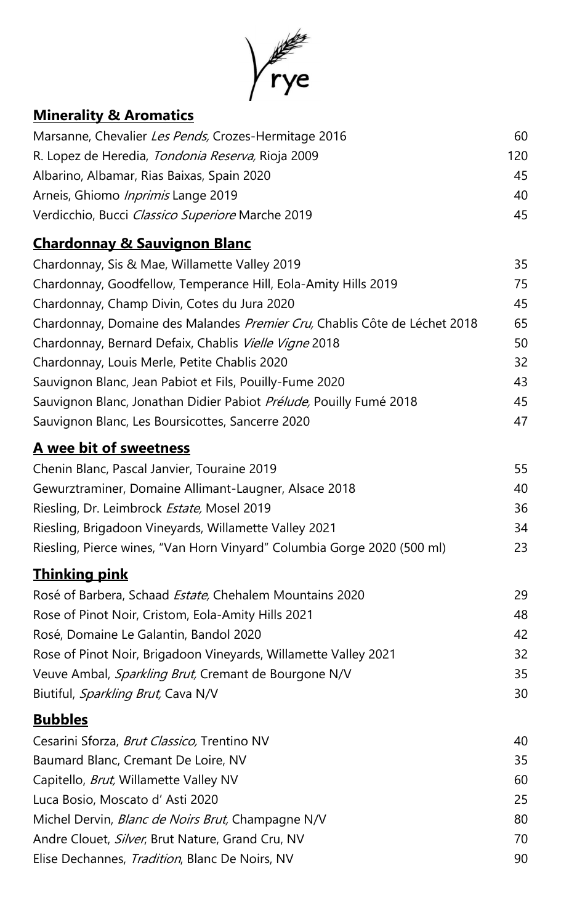

## **Minerality & Aromatics**

| Marsanne, Chevalier Les Pends, Crozes-Hermitage 2016                      | 60  |
|---------------------------------------------------------------------------|-----|
| R. Lopez de Heredia, Tondonia Reserva, Rioja 2009                         | 120 |
| Albarino, Albamar, Rias Baixas, Spain 2020                                | 45  |
| Arneis, Ghiomo <i>Inprimis</i> Lange 2019                                 | 40  |
| Verdicchio, Bucci Classico Superiore Marche 2019                          | 45  |
| <b>Chardonnay &amp; Sauvignon Blanc</b>                                   |     |
| Chardonnay, Sis & Mae, Willamette Valley 2019                             | 35  |
| Chardonnay, Goodfellow, Temperance Hill, Eola-Amity Hills 2019            | 75  |
| Chardonnay, Champ Divin, Cotes du Jura 2020                               | 45  |
| Chardonnay, Domaine des Malandes Premier Cru, Chablis Côte de Léchet 2018 | 65  |
| Chardonnay, Bernard Defaix, Chablis Vielle Vigne 2018                     | 50  |
| Chardonnay, Louis Merle, Petite Chablis 2020                              | 32  |
| Sauvignon Blanc, Jean Pabiot et Fils, Pouilly-Fume 2020                   | 43  |
| Sauvignon Blanc, Jonathan Didier Pabiot Prélude, Pouilly Fumé 2018        | 45  |
| Sauvignon Blanc, Les Boursicottes, Sancerre 2020                          | 47  |
| A wee bit of sweetness                                                    |     |
| Chenin Blanc, Pascal Janvier, Touraine 2019                               | 55  |
| Gewurztraminer, Domaine Allimant-Laugner, Alsace 2018                     | 40  |
| Riesling, Dr. Leimbrock Estate, Mosel 2019                                | 36  |
| Riesling, Brigadoon Vineyards, Willamette Valley 2021                     | 34  |
| Riesling, Pierce wines, "Van Horn Vinyard" Columbia Gorge 2020 (500 ml)   | 23  |
| <u>Thinking pink</u>                                                      |     |
| Rosé of Barbera, Schaad Estate, Chehalem Mountains 2020                   | 29  |
| Rose of Pinot Noir, Cristom, Eola-Amity Hills 2021                        | 48  |
| Rosé, Domaine Le Galantin, Bandol 2020                                    | 42  |
| Rose of Pinot Noir, Brigadoon Vineyards, Willamette Valley 2021           | 32  |
| Veuve Ambal, <i>Sparkling Brut</i> , Cremant de Bourgone N/V              | 35  |
| Biutiful, Sparkling Brut, Cava N/V                                        | 30  |
| <u>Bubbles</u>                                                            |     |
| Cesarini Sforza, <i>Brut Classico</i> , Trentino NV                       | 40  |
| Baumard Blanc, Cremant De Loire, NV                                       | 35  |
| Capitello, <i>Brut</i> , Willamette Valley NV                             | 60  |
| Luca Bosio, Moscato d'Asti 2020                                           | 25  |
| Michel Dervin, <i>Blanc de Noirs Brut</i> , Champagne N/V                 | 80  |
| Andre Clouet, <i>Silver</i> , Brut Nature, Grand Cru, NV                  | 70  |
| Elise Dechannes, <i>Tradition</i> , Blanc De Noirs, NV                    | 90  |